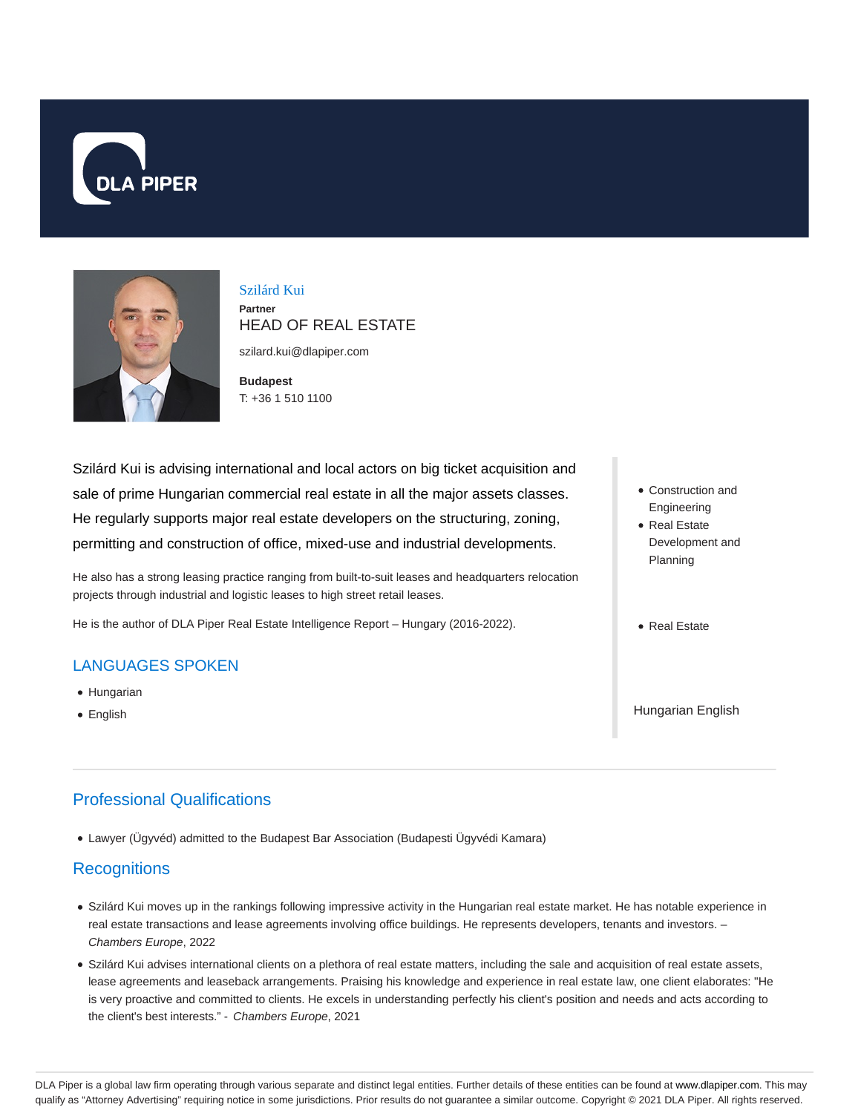



### Szilárd Kui **Partner**

HEAD OF REAL ESTATE

szilard.kui@dlapiper.com

**Budapest** T: +36 1 510 1100

Szilárd Kui is advising international and local actors on big ticket acquisition and sale of prime Hungarian commercial real estate in all the major assets classes. He regularly supports major real estate developers on the structuring, zoning, permitting and construction of office, mixed-use and industrial developments.

He also has a strong leasing practice ranging from built-to-suit leases and headquarters relocation projects through industrial and logistic leases to high street retail leases.

He is the author of DLA Piper Real Estate Intelligence Report – Hungary (2016-2022).

## LANGUAGES SPOKEN

- Hungarian
- English

# Professional Qualifications

Lawyer (Ügyvéd) admitted to the Budapest Bar Association (Budapesti Ügyvédi Kamara)

## **Recognitions**

- Szilárd Kui moves up in the rankings following impressive activity in the Hungarian real estate market. He has notable experience in real estate transactions and lease agreements involving office buildings. He represents developers, tenants and investors. – Chambers Europe, 2022
- Szilárd Kui advises international clients on a plethora of real estate matters, including the sale and acquisition of real estate assets, lease agreements and leaseback arrangements. Praising his knowledge and experience in real estate law, one client elaborates: "He is very proactive and committed to clients. He excels in understanding perfectly his client's position and needs and acts according to the client's best interests." - Chambers Europe, 2021
- Construction and Engineering Real Estate
- Development and Planning
- Real Estate

Hungarian English